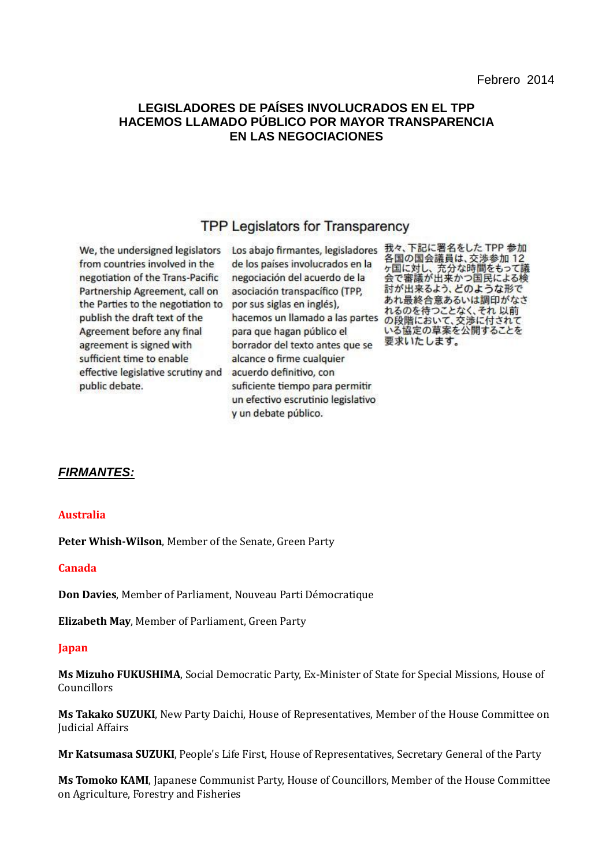# **LEGISLADORES DE PAÍSES INVOLUCRADOS EN EL TPP HACEMOS LLAMADO PÚBLICO POR MAYOR TRANSPARENCIA EN LAS NEGOCIACIONES**

# **TPP Legislators for Transparency**

We, the undersigned legislators from countries involved in the negotiation of the Trans-Pacific Partnership Agreement, call on the Parties to the negotiation to publish the draft text of the Agreement before any final agreement is signed with sufficient time to enable effective legislative scrutiny and public debate.

de los países involucrados en la negociación del acuerdo de la asociación transpacífico (TPP, por sus siglas en inglés), hacemos un llamado a las partes の段階において、交渉に付されて para que hagan público el borrador del texto antes que se alcance o firme cualquier acuerdo definitivo, con suficiente tiempo para permitir un efectivo escrutinio legislativo v un debate público.

Los abajo firmantes, legisladores 我々、下記に署名をした TPP 参加 各国の国会議員は、交渉参加12 日国い国土の最大、大学を出って議<br>ヶ国に対し、充分な時間をもって議<br>会で審議が出来かつ国民による検 討が出来るよう、どのような形で あれ最終合意あるいは調印がなさ れるのを待つことなく、それ以前 いる協定の草案を公開することを 要求いたします。

# *FIRMANTES:*

## **Australia**

**Peter Whish-Wilson**, Member of the Senate, Green Party

## **Canada**

**Don Davies**, Member of Parliament, Nouveau Parti Démocratique

**Elizabeth May**, Member of Parliament, Green Party

#### **Japan**

**Ms Mizuho FUKUSHIMA**, Social Democratic Party, Ex-Minister of State for Special Missions, House of Councillors

**Ms Takako SUZUKI**, New Party Daichi, House of Representatives, Member of the House Committee on Judicial Affairs

**Mr Katsumasa SUZUKI**, People's Life First, House of Representatives, Secretary General of the Party

**Ms Tomoko KAMI**, Japanese Communist Party, House of Councillors, Member of the House Committee on Agriculture, Forestry and Fisheries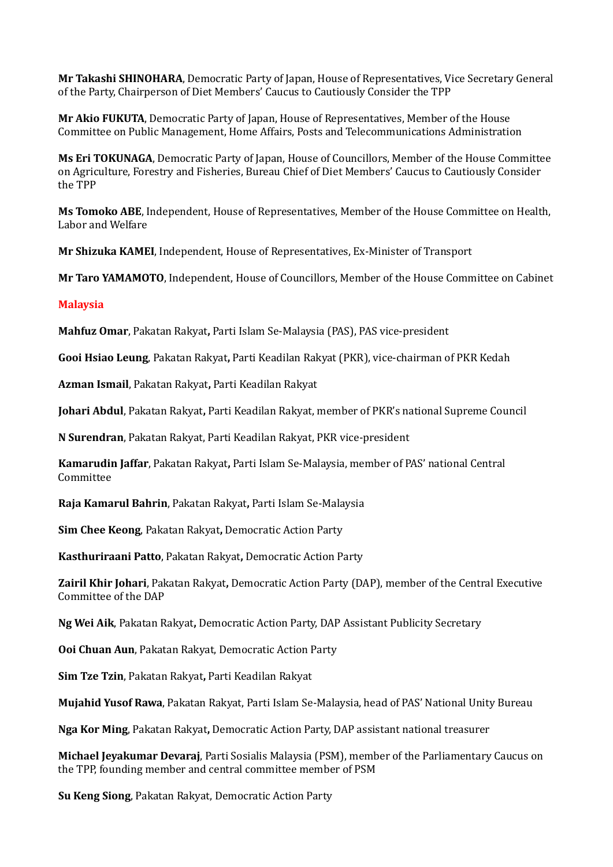**Mr Takashi SHINOHARA**, Democratic Party of Japan, House of Representatives, Vice Secretary General of the Party, Chairperson of Diet Members' Caucus to Cautiously Consider the TPP

**Mr Akio FUKUTA**, Democratic Party of Japan, House of Representatives, Member of the House Committee on Public Management, Home Affairs, Posts and Telecommunications Administration

**Ms Eri TOKUNAGA**, Democratic Party of Japan, House of Councillors, Member of the House Committee on Agriculture, Forestry and Fisheries, Bureau Chief of Diet Members' Caucus to Cautiously Consider the TPP

**Ms Tomoko ABE**, Independent, House of Representatives, Member of the House Committee on Health, Labor and Welfare

**Mr Shizuka KAMEI**, Independent, House of Representatives, Ex-Minister of Transport

**Mr Taro YAMAMOTO**, Independent, House of Councillors, Member of the House Committee on Cabinet

## **Malaysia**

**Mahfuz Omar**, Pakatan Rakyat**,** Parti Islam Se-Malaysia (PAS), PAS vice-president

**Gooi Hsiao Leung**, Pakatan Rakyat**,** Parti Keadilan Rakyat (PKR), vice-chairman of PKR Kedah

**Azman Ismail**, Pakatan Rakyat**,** Parti Keadilan Rakyat

**Johari Abdul**, Pakatan Rakyat**,** Parti Keadilan Rakyat, member of PKR's national Supreme Council

**N Surendran**, Pakatan Rakyat, Parti Keadilan Rakyat, PKR vice-president

**Kamarudin Jaffar**, Pakatan Rakyat**,** Parti Islam Se-Malaysia, member of PAS' national Central Committee

**Raja Kamarul Bahrin**, Pakatan Rakyat**,** Parti Islam Se-Malaysia

**Sim Chee Keong**, Pakatan Rakyat**,** Democratic Action Party

**Kasthuriraani Patto**, Pakatan Rakyat**,** Democratic Action Party

**Zairil Khir Johari**, Pakatan Rakyat**,** Democratic Action Party (DAP), member of the Central Executive Committee of the DAP

**Ng Wei Aik**, Pakatan Rakyat**,** Democratic Action Party, DAP Assistant Publicity Secretary

**Ooi Chuan Aun**, Pakatan Rakyat, Democratic Action Party

**Sim Tze Tzin**, Pakatan Rakyat**,** Parti Keadilan Rakyat

**Mujahid Yusof Rawa**, Pakatan Rakyat, Parti Islam Se-Malaysia, head of PAS' National Unity Bureau

**Nga Kor Ming**, Pakatan Rakyat**,** Democratic Action Party, DAP assistant national treasurer

**Michael Jeyakumar Devaraj**, Parti Sosialis Malaysia (PSM), member of the Parliamentary Caucus on the TPP, founding member and central committee member of PSM

**Su Keng Siong**, Pakatan Rakyat, Democratic Action Party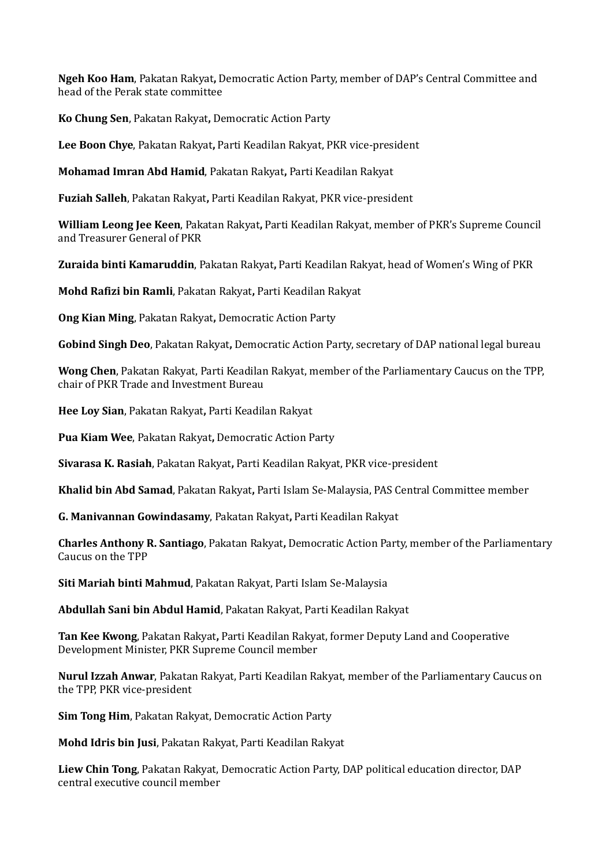**Ngeh Koo Ham**, Pakatan Rakyat**,** Democratic Action Party, member of DAP's Central Committee and head of the Perak state committee

**Ko Chung Sen**, Pakatan Rakyat**,** Democratic Action Party

**Lee Boon Chye**, Pakatan Rakyat**,** Parti Keadilan Rakyat, PKR vice-president

**Mohamad Imran Abd Hamid**, Pakatan Rakyat**,** Parti Keadilan Rakyat

**Fuziah Salleh**, Pakatan Rakyat**,** Parti Keadilan Rakyat, PKR vice-president

**William Leong Jee Keen**, Pakatan Rakyat**,** Parti Keadilan Rakyat, member of PKR's Supreme Council and Treasurer General of PKR

**Zuraida binti Kamaruddin**, Pakatan Rakyat**,** Parti Keadilan Rakyat, head of Women's Wing of PKR

**Mohd Rafizi bin Ramli**, Pakatan Rakyat**,** Parti Keadilan Rakyat

**Ong Kian Ming**, Pakatan Rakyat**,** Democratic Action Party

**Gobind Singh Deo**, Pakatan Rakyat**,** Democratic Action Party, secretary of DAP national legal bureau

**Wong Chen**, Pakatan Rakyat, Parti Keadilan Rakyat, member of the Parliamentary Caucus on the TPP, chair of PKR Trade and Investment Bureau

**Hee Loy Sian**, Pakatan Rakyat**,** Parti Keadilan Rakyat

**Pua Kiam Wee**, Pakatan Rakyat**,** Democratic Action Party

**Sivarasa K. Rasiah**, Pakatan Rakyat**,** Parti Keadilan Rakyat, PKR vice-president

**Khalid bin Abd Samad**, Pakatan Rakyat**,** Parti Islam Se-Malaysia, PAS Central Committee member

**G. Manivannan Gowindasamy**, Pakatan Rakyat**,** Parti Keadilan Rakyat

**Charles Anthony R. Santiago**, Pakatan Rakyat**,** Democratic Action Party, member of the Parliamentary Caucus on the TPP

**Siti Mariah binti Mahmud**, Pakatan Rakyat, Parti Islam Se-Malaysia

**Abdullah Sani bin Abdul Hamid**, Pakatan Rakyat, Parti Keadilan Rakyat

**Tan Kee Kwong**, Pakatan Rakyat**,** Parti Keadilan Rakyat, former Deputy Land and Cooperative Development Minister, PKR Supreme Council member

**Nurul Izzah Anwar**, Pakatan Rakyat, Parti Keadilan Rakyat, member of the Parliamentary Caucus on the TPP, PKR vice-president

**Sim Tong Him**, Pakatan Rakyat, Democratic Action Party

**Mohd Idris bin Jusi**, Pakatan Rakyat, Parti Keadilan Rakyat

**Liew Chin Tong**, Pakatan Rakyat, Democratic Action Party, DAP political education director, DAP central executive council member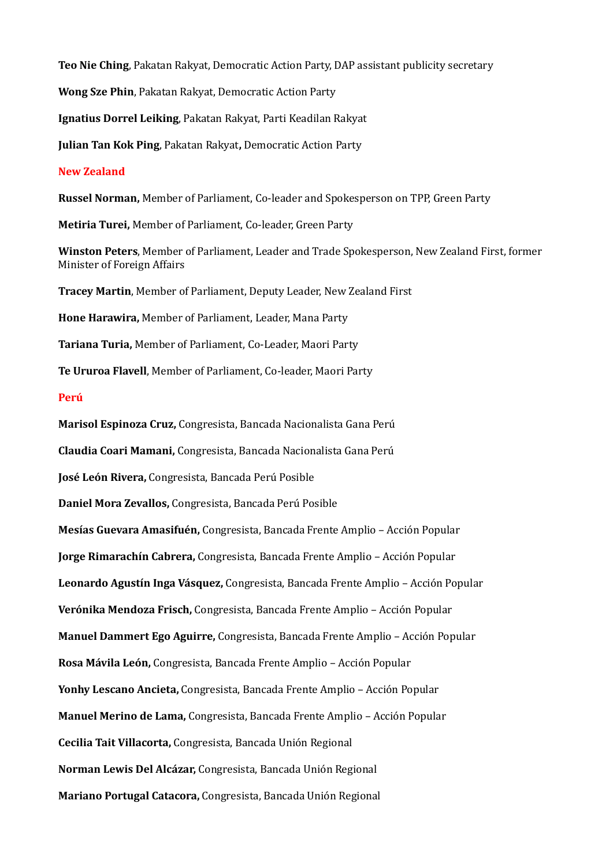**Teo Nie Ching**, Pakatan Rakyat, Democratic Action Party, DAP assistant publicity secretary

**Wong Sze Phin**, Pakatan Rakyat, Democratic Action Party

**Ignatius Dorrel Leiking**, Pakatan Rakyat, Parti Keadilan Rakyat

**Julian Tan Kok Ping**, Pakatan Rakyat**,** Democratic Action Party

#### **New Zealand**

**Russel Norman,** Member of Parliament, Co-leader and Spokesperson on TPP, Green Party

**Metiria Turei,** Member of Parliament, Co-leader, Green Party

**Winston Peters**, Member of Parliament, Leader and Trade Spokesperson, New Zealand First, former Minister of Foreign Affairs

**Tracey Martin**, Member of Parliament, Deputy Leader, New Zealand First

**Hone Harawira,** Member of Parliament, Leader, Mana Party

**Tariana Turia,** Member of Parliament, Co-Leader, Maori Party

**Te Ururoa Flavell**, Member of Parliament, Co-leader, Maori Party

#### **Perú**

**Marisol Espinoza Cruz,** Congresista, Bancada Nacionalista Gana Perú **Claudia Coari Mamani,** Congresista, Bancada Nacionalista Gana Perú **José León Rivera,** Congresista, Bancada Perú Posible **Daniel Mora Zevallos,** Congresista, Bancada Perú Posible **Mesías Guevara Amasifuén,** Congresista, Bancada Frente Amplio – Acción Popular **Jorge Rimarachín Cabrera,** Congresista, Bancada Frente Amplio – Acción Popular **Leonardo Agustín Inga Vásquez,** Congresista, Bancada Frente Amplio – Acción Popular **Verónika Mendoza Frisch,** Congresista, Bancada Frente Amplio – Acción Popular **Manuel Dammert Ego Aguirre,** Congresista, Bancada Frente Amplio – Acción Popular **Rosa Mávila León,** Congresista, Bancada Frente Amplio – Acción Popular **Yonhy Lescano Ancieta,** Congresista, Bancada Frente Amplio – Acción Popular **Manuel Merino de Lama,** Congresista, Bancada Frente Amplio – Acción Popular **Cecilia Tait Villacorta,** Congresista, Bancada Unión Regional **Norman Lewis Del Alcázar,** Congresista, Bancada Unión Regional **Mariano Portugal Catacora,** Congresista, Bancada Unión Regional